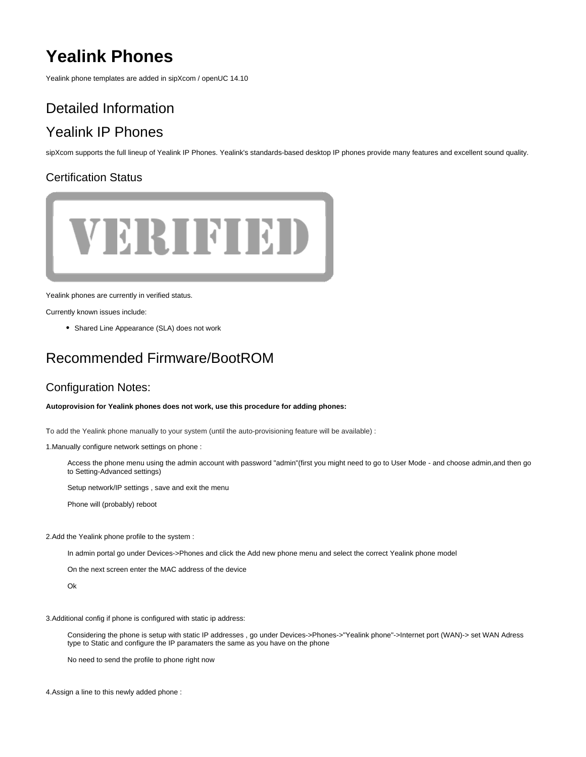# **Yealink Phones**

Yealink phone templates are added in sipXcom / openUC 14.10

# Detailed Information Yealink IP Phones

sipXcom supports the full lineup of Yealink IP Phones. Yealink's standards-based desktop IP phones provide many features and excellent sound quality.

# Certification Status



Yealink phones are currently in verified status.

Currently known issues include:

• Shared Line Appearance (SLA) does not work

# Recommended Firmware/BootROM

## Configuration Notes:

**Autoprovision for Yealink phones does not work, use this procedure for adding phones:**

To add the Yealink phone manually to your system (until the auto-provisioning feature will be available) :

1.Manually configure network settings on phone :

Access the phone menu using the admin account with password "admin"(first you might need to go to User Mode - and choose admin,and then go to Setting-Advanced settings)

Setup network/IP settings , save and exit the menu

Phone will (probably) reboot

2.Add the Yealink phone profile to the system :

In admin portal go under Devices->Phones and click the Add new phone menu and select the correct Yealink phone model

On the next screen enter the MAC address of the device

Ok

3.Additional config if phone is configured with static ip address:

Considering the phone is setup with static IP addresses , go under Devices->Phones->"Yealink phone"->Internet port (WAN)-> set WAN Adress type to Static and configure the IP paramaters the same as you have on the phone

No need to send the profile to phone right now

4.Assign a line to this newly added phone :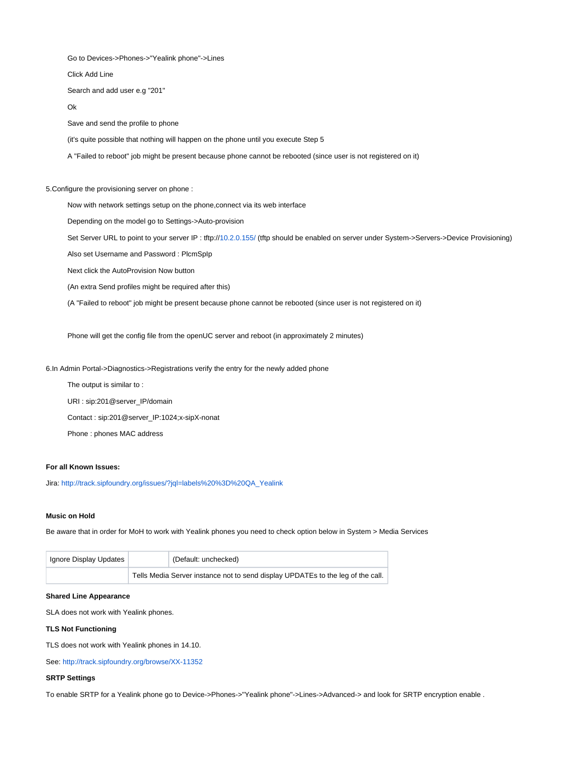Go to Devices->Phones->"Yealink phone"->Lines

### Click Add Line

Search and add user e.g "201"

#### Ok

Save and send the profile to phone

(it's quite possible that nothing will happen on the phone until you execute Step 5

A "Failed to reboot" job might be present because phone cannot be rebooted (since user is not registered on it)

5.Configure the provisioning server on phone :

Now with network settings setup on the phone,connect via its web interface

Depending on the model go to Settings->Auto-provision

Set Server URL to point to your server IP : tftp://[10.2.0.155/](http://10.2.0.155/) (tftp should be enabled on server under System->Servers->Device Provisioning)

Also set Username and Password : PlcmSpIp

Next click the AutoProvision Now button

(An extra Send profiles might be required after this)

(A "Failed to reboot" job might be present because phone cannot be rebooted (since user is not registered on it)

Phone will get the config file from the openUC server and reboot (in approximately 2 minutes)

6.In Admin Portal->Diagnostics->Registrations verify the entry for the newly added phone

The output is similar to :

URI : sip:201@server\_IP/domain

Contact : sip:201@server\_IP:1024;x-sipX-nonat

Phone : phones MAC address

## **For all Known Issues:**

Jira: [http://track.sipfoundry.org/issues/?jql=labels%20%3D%20QA\\_Yealink](http://track.sipfoundry.org/issues/?jql=labels%20%3D%20QA_Yealink)

#### **Music on Hold**

Be aware that in order for MoH to work with Yealink phones you need to check option below in System > Media Services

| Ignore Display Updates |                                                                                 | (Default: unchecked) |
|------------------------|---------------------------------------------------------------------------------|----------------------|
|                        | Tells Media Server instance not to send display UPDATEs to the leg of the call. |                      |

#### **Shared Line Appearance**

SLA does not work with Yealink phones.

### **TLS Not Functioning**

TLS does not work with Yealink phones in 14.10.

See: <http://track.sipfoundry.org/browse/XX-11352>

#### **SRTP Settings**

To enable SRTP for a Yealink phone go to Device->Phones->"Yealink phone"->Lines->Advanced-> and look for SRTP encryption enable .